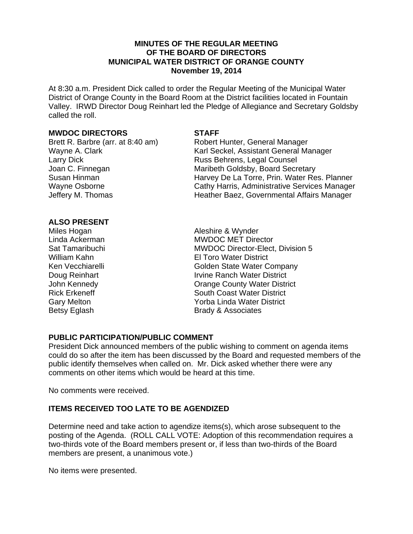#### **MINUTES OF THE REGULAR MEETING OF THE BOARD OF DIRECTORS MUNICIPAL WATER DISTRICT OF ORANGE COUNTY November 19, 2014**

At 8:30 a.m. President Dick called to order the Regular Meeting of the Municipal Water District of Orange County in the Board Room at the District facilities located in Fountain Valley. IRWD Director Doug Reinhart led the Pledge of Allegiance and Secretary Goldsby called the roll.

#### **MWDOC DIRECTORS STAFF**

Larry Dick<br>
Joan C. Finnegan<br>
Maribeth Goldsby, Board Secr

Brett R. Barbre (arr. at 8:40 am) Robert Hunter, General Manager Wayne A. Clark Karl Seckel, Assistant General Manager Maribeth Goldsby, Board Secretary Susan Hinman **Harvey De La Torre, Prin. Water Res. Planner** Harvey De La Torre, Prin. Water Res. Planner Wayne Osborne Cathy Harris, Administrative Services Manager Jeffery M. Thomas **Heather Baez, Governmental Affairs Manager** 

#### **ALSO PRESENT**

Miles Hogan **Aleshire & Wynder** Linda Ackerman **MWDOC MET Director** Sat Tamaribuchi MWDOC Director-Elect, Division 5 William Kahn El Toro Water District Ken Vecchiarelli **Ken Vecchiarelli** Colden State Water Company Doug Reinhart **Irvine Ranch Water District** John Kennedy Orange County Water District Rick Erkeneff South Coast Water District Gary Melton **Gary Melton Cary Melton Water District** Betsy Eglash Brady & Associates

## **PUBLIC PARTICIPATION/PUBLIC COMMENT**

President Dick announced members of the public wishing to comment on agenda items could do so after the item has been discussed by the Board and requested members of the public identify themselves when called on. Mr. Dick asked whether there were any comments on other items which would be heard at this time.

No comments were received.

# **ITEMS RECEIVED TOO LATE TO BE AGENDIZED**

Determine need and take action to agendize items(s), which arose subsequent to the posting of the Agenda. (ROLL CALL VOTE: Adoption of this recommendation requires a two-thirds vote of the Board members present or, if less than two-thirds of the Board members are present, a unanimous vote.)

No items were presented.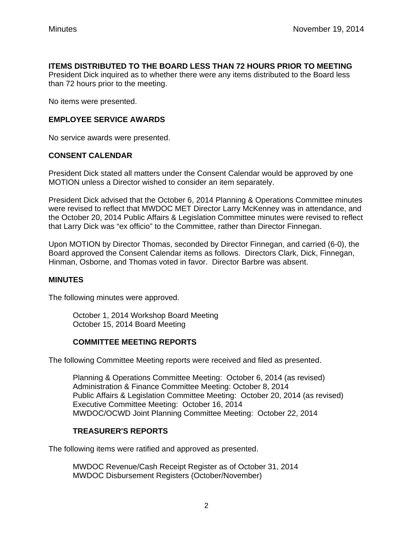## **ITEMS DISTRIBUTED TO THE BOARD LESS THAN 72 HOURS PRIOR TO MEETING**

President Dick inquired as to whether there were any items distributed to the Board less than 72 hours prior to the meeting.

No items were presented.

## **EMPLOYEE SERVICE AWARDS**

No service awards were presented.

## **CONSENT CALENDAR**

President Dick stated all matters under the Consent Calendar would be approved by one MOTION unless a Director wished to consider an item separately.

President Dick advised that the October 6, 2014 Planning & Operations Committee minutes were revised to reflect that MWDOC MET Director Larry McKenney was in attendance, and the October 20, 2014 Public Affairs & Legislation Committee minutes were revised to reflect that Larry Dick was "ex officio" to the Committee, rather than Director Finnegan.

Upon MOTION by Director Thomas, seconded by Director Finnegan, and carried (6-0), the Board approved the Consent Calendar items as follows. Directors Clark, Dick, Finnegan, Hinman, Osborne, and Thomas voted in favor. Director Barbre was absent.

## **MINUTES**

The following minutes were approved.

October 1, 2014 Workshop Board Meeting October 15, 2014 Board Meeting

## **COMMITTEE MEETING REPORTS**

The following Committee Meeting reports were received and filed as presented.

Planning & Operations Committee Meeting: October 6, 2014 (as revised) Administration & Finance Committee Meeting: October 8, 2014 Public Affairs & Legislation Committee Meeting: October 20, 2014 (as revised) Executive Committee Meeting: October 16, 2014 MWDOC/OCWD Joint Planning Committee Meeting: October 22, 2014

## **TREASURER'S REPORTS**

The following items were ratified and approved as presented.

MWDOC Revenue/Cash Receipt Register as of October 31, 2014 MWDOC Disbursement Registers (October/November)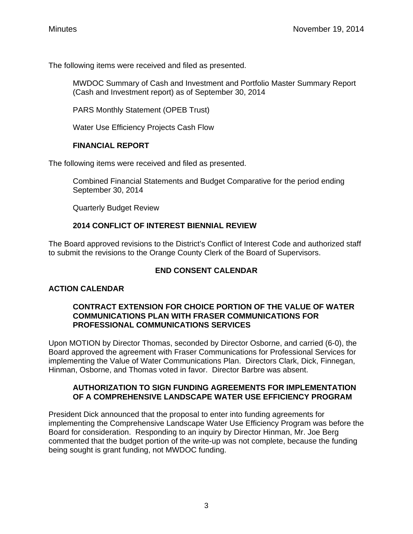The following items were received and filed as presented.

MWDOC Summary of Cash and Investment and Portfolio Master Summary Report (Cash and Investment report) as of September 30, 2014

PARS Monthly Statement (OPEB Trust)

Water Use Efficiency Projects Cash Flow

## **FINANCIAL REPORT**

The following items were received and filed as presented.

Combined Financial Statements and Budget Comparative for the period ending September 30, 2014

Quarterly Budget Review

# **2014 CONFLICT OF INTEREST BIENNIAL REVIEW**

The Board approved revisions to the District's Conflict of Interest Code and authorized staff to submit the revisions to the Orange County Clerk of the Board of Supervisors.

# **END CONSENT CALENDAR**

# **ACTION CALENDAR**

## **CONTRACT EXTENSION FOR CHOICE PORTION OF THE VALUE OF WATER COMMUNICATIONS PLAN WITH FRASER COMMUNICATIONS FOR PROFESSIONAL COMMUNICATIONS SERVICES**

Upon MOTION by Director Thomas, seconded by Director Osborne, and carried (6-0), the Board approved the agreement with Fraser Communications for Professional Services for implementing the Value of Water Communications Plan. Directors Clark, Dick, Finnegan, Hinman, Osborne, and Thomas voted in favor. Director Barbre was absent.

## **AUTHORIZATION TO SIGN FUNDING AGREEMENTS FOR IMPLEMENTATION OF A COMPREHENSIVE LANDSCAPE WATER USE EFFICIENCY PROGRAM**

President Dick announced that the proposal to enter into funding agreements for implementing the Comprehensive Landscape Water Use Efficiency Program was before the Board for consideration. Responding to an inquiry by Director Hinman, Mr. Joe Berg commented that the budget portion of the write-up was not complete, because the funding being sought is grant funding, not MWDOC funding.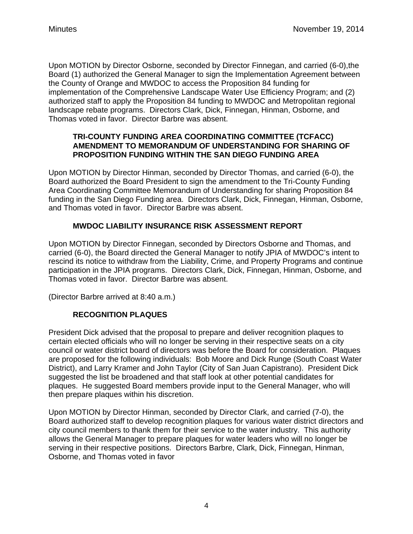Upon MOTION by Director Osborne, seconded by Director Finnegan, and carried (6-0),the Board (1) authorized the General Manager to sign the Implementation Agreement between the County of Orange and MWDOC to access the Proposition 84 funding for implementation of the Comprehensive Landscape Water Use Efficiency Program; and (2) authorized staff to apply the Proposition 84 funding to MWDOC and Metropolitan regional landscape rebate programs. Directors Clark, Dick, Finnegan, Hinman, Osborne, and Thomas voted in favor. Director Barbre was absent.

## **TRI-COUNTY FUNDING AREA COORDINATING COMMITTEE (TCFACC) AMENDMENT TO MEMORANDUM OF UNDERSTANDING FOR SHARING OF PROPOSITION FUNDING WITHIN THE SAN DIEGO FUNDING AREA**

Upon MOTION by Director Hinman, seconded by Director Thomas, and carried (6-0), the Board authorized the Board President to sign the amendment to the Tri-County Funding Area Coordinating Committee Memorandum of Understanding for sharing Proposition 84 funding in the San Diego Funding area. Directors Clark, Dick, Finnegan, Hinman, Osborne, and Thomas voted in favor. Director Barbre was absent.

# **MWDOC LIABILITY INSURANCE RISK ASSESSMENT REPORT**

Upon MOTION by Director Finnegan, seconded by Directors Osborne and Thomas, and carried (6-0), the Board directed the General Manager to notify JPIA of MWDOC's intent to rescind its notice to withdraw from the Liability, Crime, and Property Programs and continue participation in the JPIA programs. Directors Clark, Dick, Finnegan, Hinman, Osborne, and Thomas voted in favor. Director Barbre was absent.

(Director Barbre arrived at 8:40 a.m.)

# **RECOGNITION PLAQUES**

President Dick advised that the proposal to prepare and deliver recognition plaques to certain elected officials who will no longer be serving in their respective seats on a city council or water district board of directors was before the Board for consideration. Plaques are proposed for the following individuals: Bob Moore and Dick Runge (South Coast Water District), and Larry Kramer and John Taylor (City of San Juan Capistrano). President Dick suggested the list be broadened and that staff look at other potential candidates for plaques. He suggested Board members provide input to the General Manager, who will then prepare plaques within his discretion.

Upon MOTION by Director Hinman, seconded by Director Clark, and carried (7-0), the Board authorized staff to develop recognition plaques for various water district directors and city council members to thank them for their service to the water industry. This authority allows the General Manager to prepare plaques for water leaders who will no longer be serving in their respective positions. Directors Barbre, Clark, Dick, Finnegan, Hinman, Osborne, and Thomas voted in favor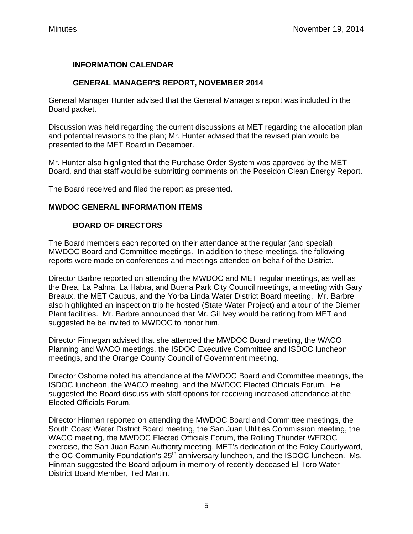# **INFORMATION CALENDAR**

## **GENERAL MANAGER'S REPORT, NOVEMBER 2014**

General Manager Hunter advised that the General Manager's report was included in the Board packet.

Discussion was held regarding the current discussions at MET regarding the allocation plan and potential revisions to the plan; Mr. Hunter advised that the revised plan would be presented to the MET Board in December.

Mr. Hunter also highlighted that the Purchase Order System was approved by the MET Board, and that staff would be submitting comments on the Poseidon Clean Energy Report.

The Board received and filed the report as presented.

## **MWDOC GENERAL INFORMATION ITEMS**

## **BOARD OF DIRECTORS**

The Board members each reported on their attendance at the regular (and special) MWDOC Board and Committee meetings. In addition to these meetings, the following reports were made on conferences and meetings attended on behalf of the District.

Director Barbre reported on attending the MWDOC and MET regular meetings, as well as the Brea, La Palma, La Habra, and Buena Park City Council meetings, a meeting with Gary Breaux, the MET Caucus, and the Yorba Linda Water District Board meeting. Mr. Barbre also highlighted an inspection trip he hosted (State Water Project) and a tour of the Diemer Plant facilities. Mr. Barbre announced that Mr. Gil Ivey would be retiring from MET and suggested he be invited to MWDOC to honor him.

Director Finnegan advised that she attended the MWDOC Board meeting, the WACO Planning and WACO meetings, the ISDOC Executive Committee and ISDOC luncheon meetings, and the Orange County Council of Government meeting.

Director Osborne noted his attendance at the MWDOC Board and Committee meetings, the ISDOC luncheon, the WACO meeting, and the MWDOC Elected Officials Forum. He suggested the Board discuss with staff options for receiving increased attendance at the Elected Officials Forum.

Director Hinman reported on attending the MWDOC Board and Committee meetings, the South Coast Water District Board meeting, the San Juan Utilities Commission meeting, the WACO meeting, the MWDOC Elected Officials Forum, the Rolling Thunder WEROC exercise, the San Juan Basin Authority meeting, MET's dedication of the Foley Courtyward, the OC Community Foundation's 25<sup>th</sup> anniversary luncheon, and the ISDOC luncheon. Ms. Hinman suggested the Board adjourn in memory of recently deceased El Toro Water District Board Member, Ted Martin.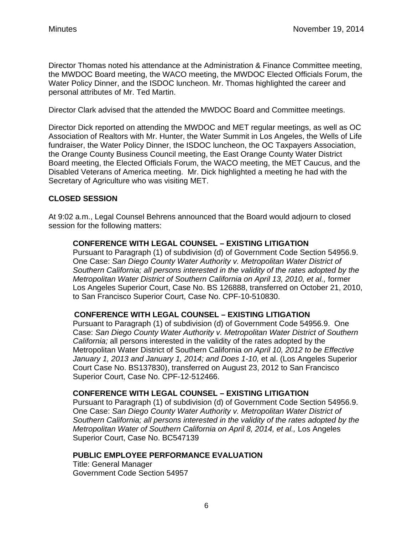Director Thomas noted his attendance at the Administration & Finance Committee meeting, the MWDOC Board meeting, the WACO meeting, the MWDOC Elected Officials Forum, the Water Policy Dinner, and the ISDOC luncheon. Mr. Thomas highlighted the career and personal attributes of Mr. Ted Martin.

Director Clark advised that the attended the MWDOC Board and Committee meetings.

Director Dick reported on attending the MWDOC and MET regular meetings, as well as OC Association of Realtors with Mr. Hunter, the Water Summit in Los Angeles, the Wells of Life fundraiser, the Water Policy Dinner, the ISDOC luncheon, the OC Taxpayers Association, the Orange County Business Council meeting, the East Orange County Water District Board meeting, the Elected Officials Forum, the WACO meeting, the MET Caucus, and the Disabled Veterans of America meeting. Mr. Dick highlighted a meeting he had with the Secretary of Agriculture who was visiting MET.

# **CLOSED SESSION**

At 9:02 a.m., Legal Counsel Behrens announced that the Board would adjourn to closed session for the following matters:

## **CONFERENCE WITH LEGAL COUNSEL – EXISTING LITIGATION**

Pursuant to Paragraph (1) of subdivision (d) of Government Code Section 54956.9. One Case: *San Diego County Water Authority v. Metropolitan Water District of Southern California; all persons interested in the validity of the rates adopted by the Metropolitan Water District of Southern California on April 13, 2010, et al.,* former Los Angeles Superior Court, Case No. BS 126888, transferred on October 21, 2010, to San Francisco Superior Court, Case No. CPF-10-510830.

# **CONFERENCE WITH LEGAL COUNSEL – EXISTING LITIGATION**

Pursuant to Paragraph (1) of subdivision (d) of Government Code 54956.9. One Case: *San Diego County Water Authority v. Metropolitan Water District of Southern California;* all persons interested in the validity of the rates adopted by the Metropolitan Water District of Southern California *on April 10, 2012 to be Effective January 1, 2013 and January 1, 2014; and Does 1-10,* et al. (Los Angeles Superior Court Case No. BS137830), transferred on August 23, 2012 to San Francisco Superior Court, Case No. CPF-12-512466.

# **CONFERENCE WITH LEGAL COUNSEL – EXISTING LITIGATION**

Pursuant to Paragraph (1) of subdivision (d) of Government Code Section 54956.9. One Case: *San Diego County Water Authority v. Metropolitan Water District of Southern California; all persons interested in the validity of the rates adopted by the Metropolitan Water of Southern California on April 8, 2014, et al., Los Angeles* Superior Court, Case No. BC547139

## **PUBLIC EMPLOYEE PERFORMANCE EVALUATION**

Title: General Manager Government Code Section 54957